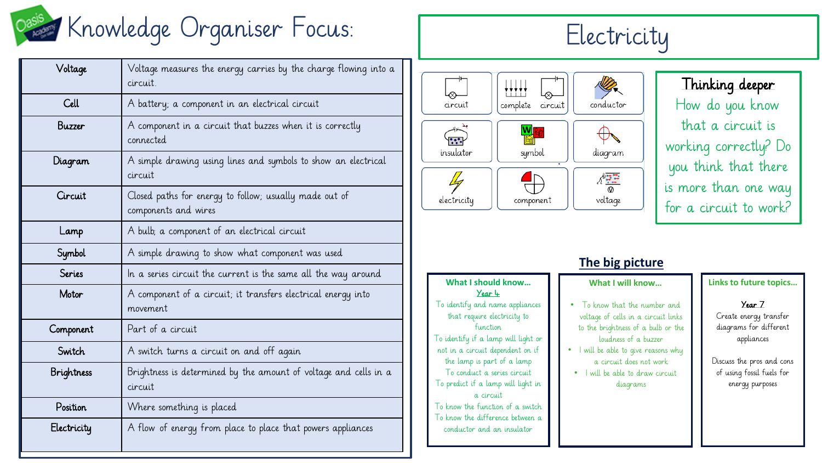

| Voltage           | Voltage measures the energy carries by the charge flowing into a<br>circuit.   |  |  |
|-------------------|--------------------------------------------------------------------------------|--|--|
| Cell              | A battery; a component in an electrical circuit                                |  |  |
| Buzzer            | A component in a circuit that buzzes when it is correctly<br>connected         |  |  |
| Diagram           | A simple drawing using lines and symbols to show an electrical<br>circuit      |  |  |
| Circuit           | Closed paths for energy to follow; usually made out of<br>components and wires |  |  |
| Lamp              | A bulb, a component of an electrical circuit                                   |  |  |
| Symbol            | A simple drawing to show what component was used                               |  |  |
| Series            | In a series circuit the current is the same all the way around                 |  |  |
| Motor             | A component of a circuit; it transfers electrical energy into<br>movement      |  |  |
| Component         | Part of a circuit                                                              |  |  |
| Switch            | A switch turns a circuit on and off again                                      |  |  |
| <b>Brightness</b> | Brightness is determined by the amount of voltage and cells in a<br>circuit    |  |  |
| Position          | Where something is placed                                                      |  |  |
| Electricity       | A flow of energy from place to place that powers appliances                    |  |  |



Thinking deeper How do you know that a circuit is working correctly? Do you think that there is more than one way for a circuit to work?

|                                                                                                                                                                                                                                                                                                                                                                              | <b>THE MIS MILLAIL</b>                                                                                                                                                                                                                              |
|------------------------------------------------------------------------------------------------------------------------------------------------------------------------------------------------------------------------------------------------------------------------------------------------------------------------------------------------------------------------------|-----------------------------------------------------------------------------------------------------------------------------------------------------------------------------------------------------------------------------------------------------|
| What I should know<br>Year 4                                                                                                                                                                                                                                                                                                                                                 | What I will know                                                                                                                                                                                                                                    |
| To identify and name appliances<br>that require electricity to<br>function.<br>To identify if a lamp will light or<br>not in a circuit dependent on if<br>the lamp is part of a lamp<br>To conduct a series circuit<br>To predict if a lamp will light in<br>a circuit<br>To know the function of a switch<br>To know the difference between a<br>conductor and an insulator | • To know that the number and<br>voltage of cells in a circuit links<br>to the brightness of a bulb or the<br>loudness of a buzzer<br>I will be able to give reasons why<br>a circuit does not work<br>• I will be able to draw circuit<br>diagrams |

## **The big picture What I will know…**

### **Links to future topics…**

Year 7

Create energy transfer diagrams for different appliances

Discuss the pros and cons of using fossil fuels for energy purposes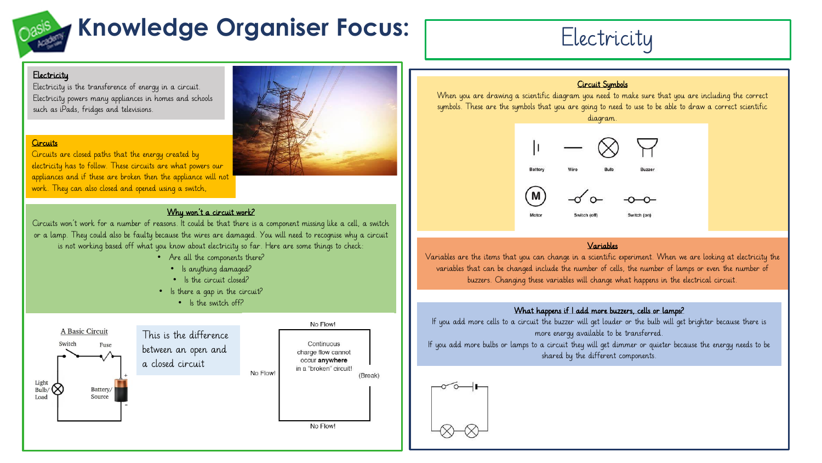# **Knowledge Organiser Focus:** Electricity

### **Electricity**

Electricity is the transference of energy in a circuit. Electricity powers many appliances in homes and schools such as iPads, fridges and televisions.

#### **Circuits**

Circuits are closed paths that the energy created by electricity has to follow. These circuits are what powers our appliances and if these are broken then the appliance will not work. They can also closed and opened using a switch,

#### Why won't a circuit work?

Circuits won't work for a number of reasons. It could be that there is a component missing like a cell, a switch or a lamp. They could also be faulty because the wires are damaged. You will need to recognise why a circuit is not working based off what you know about electricity so far. Here are some things to check:

- Are all the components there?
	- Is anything damaged?
	- Is the circuit closed?
- Is there a gap in the circuit?
	- Is the switch off?





#### Circuit Symbols

When you are drawing a scientific diagram you need to make sure that you are including the correct symbols. These are the symbols that you are going to need to use to be able to draw a correct scientific



#### Variables

Variables are the items that you can change in a scientific experiment. When we are looking at electricity the variables that can be changed include the number of cells, the number of lamps or even the number of buzzers. Changing these variables will change what happens in the electrical circuit.

#### What happens if I add more buzzers, cells or lamps?

If you add more cells to a circuit the buzzer will get louder or the bulb will get brighter because there is more energy available to be transferred.

If you add more bulbs or lamps to a circuit they will get dimmer or quieter because the energy needs to be shared by the different components.